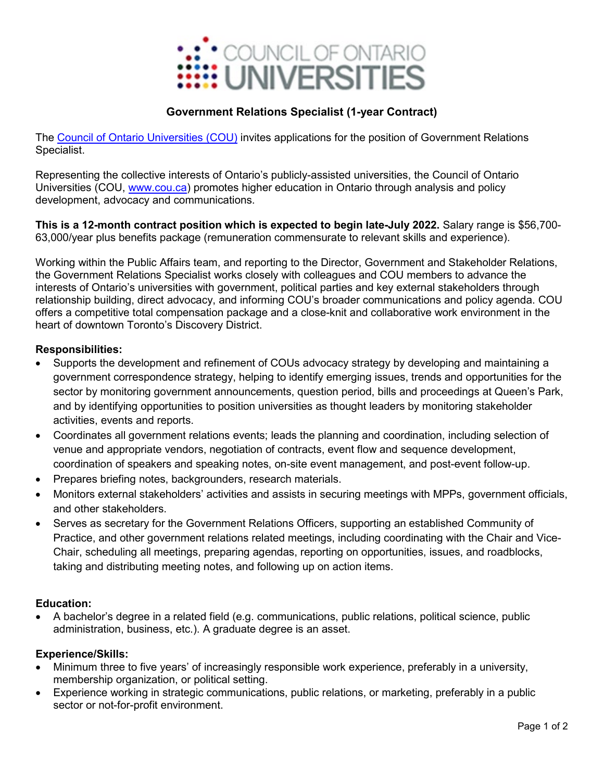

# **Government Relations Specialist (1-year Contract)**

The [Council of Ontario Universities \(COU\)](https://cou.ca/) invites applications for the position of Government Relations Specialist.

Representing the collective interests of Ontario's publicly-assisted universities, the Council of Ontario Universities (COU, [www.cou.ca\)](https://cou.ca/) promotes higher education in Ontario through analysis and policy development, advocacy and communications.

**This is a 12-month contract position which is expected to begin late-July 2022.** Salary range is \$56,700- 63,000/year plus benefits package (remuneration commensurate to relevant skills and experience).

Working within the Public Affairs team, and reporting to the Director, Government and Stakeholder Relations, the Government Relations Specialist works closely with colleagues and COU members to advance the interests of Ontario's universities with government, political parties and key external stakeholders through relationship building, direct advocacy, and informing COU's broader communications and policy agenda. COU offers a competitive total compensation package and a close-knit and collaborative work environment in the heart of downtown Toronto's Discovery District.

### **Responsibilities:**

- Supports the development and refinement of COUs advocacy strategy by developing and maintaining a government correspondence strategy, helping to identify emerging issues, trends and opportunities for the sector by monitoring government announcements, question period, bills and proceedings at Queen's Park, and by identifying opportunities to position universities as thought leaders by monitoring stakeholder activities, events and reports.
- Coordinates all government relations events; leads the planning and coordination, including selection of venue and appropriate vendors, negotiation of contracts, event flow and sequence development, coordination of speakers and speaking notes, on-site event management, and post-event follow-up.
- Prepares briefing notes, backgrounders, research materials.
- Monitors external stakeholders' activities and assists in securing meetings with MPPs, government officials, and other stakeholders.
- Serves as secretary for the Government Relations Officers, supporting an established Community of Practice, and other government relations related meetings, including coordinating with the Chair and Vice-Chair, scheduling all meetings, preparing agendas, reporting on opportunities, issues, and roadblocks, taking and distributing meeting notes, and following up on action items.

#### **Education:**

• A bachelor's degree in a related field (e.g. communications, public relations, political science, public administration, business, etc.). A graduate degree is an asset.

#### **Experience/Skills:**

- Minimum three to five years' of increasingly responsible work experience, preferably in a university, membership organization, or political setting.
- Experience working in strategic communications, public relations, or marketing, preferably in a public sector or not-for-profit environment.